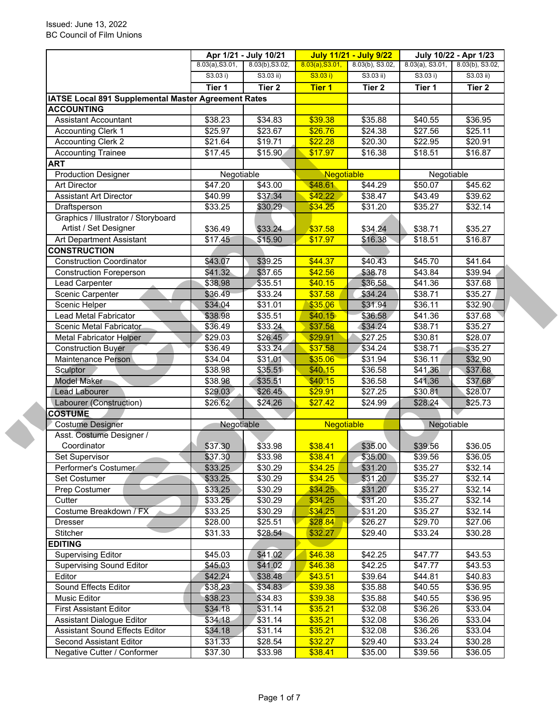|                                                     |                     | Apr 1/21 - July 10/21 |                   | <b>July 11/21 - July 9/22</b> |                    | July 10/22 - Apr 1/23 |
|-----------------------------------------------------|---------------------|-----------------------|-------------------|-------------------------------|--------------------|-----------------------|
|                                                     | 8.03(a), S3.01,     | 8.03(b), S3.02,       | 8.03(a), S3.01,   | 8.03(b), S3.02,               | $8.03(a)$ , S3.01, | $8.03(b)$ , S3.02,    |
|                                                     | S3.03 i)            | $S3.03$ ii)           | S3.03 i)          | $S3.03$ ii)                   | S3.03 i)           | $S3.03$ ii)           |
|                                                     | Tier 1              | Tier <sub>2</sub>     | Tier 1            | Tier 2                        | Tier 1             | Tier <sub>2</sub>     |
| IATSE Local 891 Supplemental Master Agreement Rates |                     |                       |                   |                               |                    |                       |
| <b>ACCOUNTING</b>                                   |                     |                       |                   |                               |                    |                       |
| <b>Assistant Accountant</b>                         | \$38.23             | \$34.83               | \$39.38           | \$35.88                       | \$40.55            | $\overline{$}36.95$   |
| <b>Accounting Clerk 1</b>                           | $\overline{$25.97}$ | \$23.67               | \$26.76           | \$24.38                       | \$27.56            | \$25.11               |
| <b>Accounting Clerk 2</b>                           | \$21.64             | \$19.71               | \$22.28           | \$20.30                       | \$22.95            | \$20.91               |
| <b>Accounting Trainee</b>                           | \$17.45             | \$15.90               | \$17.97           | \$16.38                       | \$18.51            | \$16.87               |
| <b>ART</b>                                          |                     |                       |                   |                               |                    |                       |
| <b>Production Designer</b>                          | Negotiable          |                       | Negotiable        |                               | Negotiable         |                       |
| <b>Art Director</b>                                 | \$47.20             | \$43.00               | \$48.61           | \$44.29                       | \$50.07            | \$45.62               |
| <b>Assistant Art Director</b>                       | \$40.99             | \$37.34               | \$42.22           | \$38.47                       | \$43.49            | \$39.62               |
| Draftsperson                                        | \$33.25             | \$30.29               | \$34.25           | \$31.20                       | \$35.27            | \$32.14               |
| Graphics / Illustrator / Storyboard                 |                     |                       |                   |                               |                    |                       |
| Artist / Set Designer                               | \$36.49             | \$33.24               | \$37.58           | \$34.24                       | \$38.71            | \$35.27               |
| Art Department Assistant                            | \$17.45             | \$15.90               | \$17.97           | \$16.38                       | \$18.51            | \$16.87               |
| <b>CONSTRUCTION</b>                                 |                     |                       |                   |                               |                    |                       |
| <b>Construction Coordinator</b>                     | \$43.07             | \$39.25               | \$44.37           | \$40.43                       | \$45.70            | \$41.64               |
| <b>Construction Foreperson</b>                      | \$41.32\$           | \$37.65               | \$42.56           | \$38.78                       | \$43.84            | \$39.94               |
| Lead Carpenter                                      | \$38.98             | \$35.51               | \$40.15           | \$36.58                       | \$41.36            | \$37.68               |
| Scenic Carpenter                                    | \$36.49             | \$33.24               | \$37.58           | \$34.24                       | \$38.71            | \$35.27               |
| Scenic Helper                                       | \$34.04             | \$31.01               | \$35.06           | \$31.94                       | \$36.11            | \$32.90               |
| Lead Metal Fabricator                               | \$38.98             | \$35.51               | \$40.15           | \$36.58                       | \$41.36            | \$37.68               |
| Scenic Metal Fabricator                             | \$36.49             | \$33.24               | \$37.58           | \$34.24                       | \$38.71            | \$35.27               |
| <b>Metal Fabricator Helper</b>                      | \$29.03             | \$26.45               | \$29.91           | \$27.25                       | \$30.81            | \$28.07               |
| <b>Construction Buyer</b>                           | \$36.49             | \$33.24               | \$37.58           | \$34.24                       | \$38.71            | \$35.27               |
| Maintenance Person                                  | \$34.04             | \$31.01               | \$35.06           | \$31.94                       | \$36.11            | \$32.90               |
| Sculptor                                            | \$38.98             | \$35.51               | \$40.15           | \$36.58                       | \$41.36            | \$37.68               |
| <b>Model Maker</b>                                  | \$38.98             | \$35.51               | \$40.15           | \$36.58                       | \$41.36            | \$37.68               |
| Lead Labourer                                       | \$29.03             | \$26.45               | \$29.91           | \$27.25                       | \$30.81            | \$28.07               |
| Labourer (Construction)                             | \$26.62             | \$24.26               | \$27.42           | \$24.99                       | \$28.24            | \$25.73               |
| <b>COSTUME</b>                                      |                     |                       |                   |                               |                    |                       |
| <b>Costume Designer</b>                             | Negotiable          |                       | <b>Negotiable</b> |                               | Negotiable         |                       |
| Asst. Costume Designer /                            |                     |                       |                   |                               |                    |                       |
| Coordinator                                         | \$37.30             | \$33.98               | \$38.41           | \$35.00                       | \$39.56            | \$36.05               |
| Set Supervisor                                      | \$37.30             | \$33.98               | \$38.41           | \$35.00                       | \$39.56            | \$36.05               |
| Performer's Costumer                                | \$33.25             | \$30.29               | \$34.25           | \$31.20                       | \$35.27            | \$32.14               |
| Set Costumer                                        | \$33.25             | \$30.29               | \$34.25           | \$31.20                       | \$35.27            | \$32.14               |
| Prep Costumer                                       | \$33.25             | \$30.29               | \$34.25           | \$31.20                       | \$35.27            | \$32.14               |
| Cutter                                              | \$33.25             | \$30.29               | \$34.25           | \$31.20                       | \$35.27            | \$32.14               |
| Costume Breakdown / FX                              | \$33.25             | \$30.29               | \$34.25           | \$31.20                       | \$35.27            | \$32.14               |
| <b>Dresser</b>                                      | \$28.00             | \$25.51               | \$28.84           | \$26.27                       | \$29.70            | \$27.06               |
| Stitcher                                            | \$31.33             | \$28.54               | \$32.27           | \$29.40                       | \$33.24            | \$30.28               |
| <b>EDITING</b>                                      |                     |                       |                   |                               |                    |                       |
| <b>Supervising Editor</b>                           | \$45.03             | \$41.02               | \$46.38           | \$42.25                       | \$47.77            | \$43.53               |
| <b>Supervising Sound Editor</b>                     | \$45.03             | \$41.02               | \$46.38           | \$42.25                       | \$47.77            | \$43.53               |
| Editor                                              | \$42.24             | \$38.48               | \$43.51           | \$39.64                       | \$44.81            | \$40.83               |
| Sound Effects Editor                                | \$38.23             | \$34.83               | \$39.38           | \$35.88                       | \$40.55            | \$36.95               |
| Music Editor                                        | \$38.23             | \$34.83               | \$39.38           | \$35.88                       | \$40.55            | \$36.95               |
| <b>First Assistant Editor</b>                       | \$34.18             | \$31.14               | \$35.21           | \$32.08                       | \$36.26            | \$33.04               |
| Assistant Dialogue Editor                           | \$34.18             | \$31.14               | \$35.21           | \$32.08                       | \$36.26            | \$33.04               |
| Assistant Sound Effects Editor                      | \$34.18             | \$31.14               | \$35.21           | \$32.08                       | \$36.26            | \$33.04               |
| Second Assistant Editor                             | \$31.33             | \$28.54               | \$32.27           | \$29.40                       | \$33.24            | \$30.28               |
| Negative Cutter / Conformer                         | \$37.30             | \$33.98               | \$38.41           | \$35.00                       | \$39.56            | \$36.05               |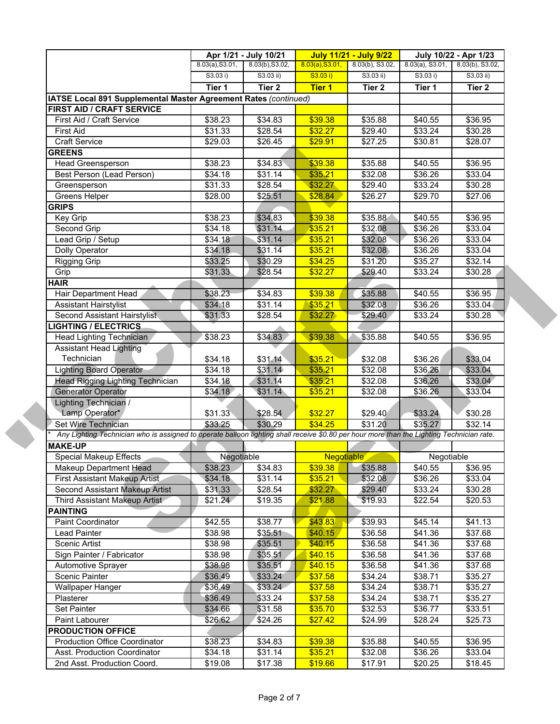|                                                                                                                                           |                     | Apr 1/21 - July 10/21 |                 | <b>July 11/21 - July 9/22</b> |                    | July 10/22 - Apr 1/23 |
|-------------------------------------------------------------------------------------------------------------------------------------------|---------------------|-----------------------|-----------------|-------------------------------|--------------------|-----------------------|
|                                                                                                                                           | 8.03(a), S3.01,     | 8.03(b), S3.02,       | 8.03(a), S3.01, | 8.03(b), S3.02,               | $8.03(a)$ , S3.01, | 8.03(b), S3.02,       |
|                                                                                                                                           | S3.03 i)            | $S3.03$ ii)           | S3.03 i)        | S3.03 ii)                     | S3.03 i)           | $S3.03$ ii)           |
|                                                                                                                                           | Tier 1              | Tier <sub>2</sub>     | <b>Tier 1</b>   | Tier 2                        | Tier 1             | Tier 2                |
| IATSE Local 891 Supplemental Master Agreement Rates (continued)                                                                           |                     |                       |                 |                               |                    |                       |
| <b>FIRST AID / CRAFT SERVICE</b>                                                                                                          |                     |                       |                 |                               |                    |                       |
| First Aid / Craft Service                                                                                                                 | \$38.23             | \$34.83               | \$39.38         | \$35.88                       | \$40.55            | \$36.95               |
| <b>First Aid</b>                                                                                                                          | \$31.33             | \$28.54               | \$32.27         | \$29.40                       | \$33.24            | \$30.28               |
| <b>Craft Service</b>                                                                                                                      | \$29.03             | \$26.45               | \$29.91         | \$27.25                       | \$30.81            | \$28.07               |
| <b>GREENS</b>                                                                                                                             |                     |                       |                 |                               |                    |                       |
| Head Greensperson                                                                                                                         | \$38.23             | \$34.83               | \$39.38         | \$35.88                       | \$40.55            | \$36.95               |
| Best Person (Lead Person)                                                                                                                 | \$34.18             | \$31.14               | \$35.21         | \$32.08                       | \$36.26            | \$33.04               |
| Greensperson                                                                                                                              | \$31.33             | \$28.54               | \$32.27         | \$29.40                       | \$33.24            | \$30.28               |
| Greens Helper                                                                                                                             | \$28.00             | \$25.51               | \$28.84         | \$26.27                       | \$29.70            | \$27.06               |
| <b>GRIPS</b>                                                                                                                              |                     |                       |                 |                               |                    |                       |
| Key Grip                                                                                                                                  | \$38.23             | \$34.83               | \$39.38         | \$35.88                       | \$40.55            | \$36.95               |
| Second Grip                                                                                                                               | \$34.18             | \$31.14               | \$35.21         | \$32.08                       | \$36.26            | \$33.04               |
| Lead Grip / Setup                                                                                                                         | \$34.18             | \$31.14               | \$35.21         | \$32.08                       | \$36.26            | \$33.04               |
| Dolly Operator                                                                                                                            | \$34.18             | \$31.14               | \$35.21         | \$32.08                       | \$36.26            | \$33.04               |
| <b>Rigging Grip</b>                                                                                                                       | \$33.25             | \$30.29               | \$34.25         | \$31.20                       | \$35.27            | \$32.14               |
|                                                                                                                                           |                     |                       |                 |                               |                    |                       |
| Grip                                                                                                                                      | \$31.33             | \$28.54               | \$32.27         | \$29.40                       | \$33.24            | \$30.28               |
| <b>HAIR</b>                                                                                                                               |                     |                       |                 |                               |                    |                       |
| Hair Department Head                                                                                                                      | \$38.23             | \$34.83               | \$39.38         | \$35.88                       | \$40.55            | \$36.95               |
| <b>Assistant Hairstylist</b>                                                                                                              | \$34.18             | \$31.14               | \$35.21         | \$32.08                       | \$36.26            | \$33.04               |
| Second Assistant Hairstylist                                                                                                              | \$31.33             | \$28.54               | \$32.27         | \$29.40                       | \$33.24            | \$30.28               |
| <b>LIGHTING / ELECTRICS</b>                                                                                                               |                     |                       |                 |                               |                    |                       |
| Head Lighting Technician                                                                                                                  | \$38.23             | \$34.83               | \$39.38         | \$35.88                       | \$40.55            | \$36.95               |
| <b>Assistant Head Lighting</b>                                                                                                            |                     |                       |                 |                               |                    |                       |
| Technician                                                                                                                                | \$34.18             | \$31.14               | \$35.21         | \$32.08                       | \$36.26            | \$33.04               |
| <b>Lighting Board Operator</b>                                                                                                            | \$34.18             | \$31.14               | \$35.21         | \$32.08                       | \$36.26            | \$33.04               |
| <b>Head Rigging Lighting Technician</b>                                                                                                   | $\overline{$}34.18$ | \$31.14               | \$35.21         | $\overline{$32.08}$           | \$36.26            | \$33.04               |
| <b>Generator Operator</b>                                                                                                                 | \$34.18             | \$31.14               | \$35.21         | \$32.08                       | \$36.26            | \$33.04               |
| Lighting Technician /                                                                                                                     |                     |                       |                 |                               |                    |                       |
| Lamp Operator*                                                                                                                            | \$31.33             | \$28.54               | \$32.27         | \$29.40                       | \$33.24            | \$30.28               |
| Set Wire Technician                                                                                                                       | \$33.25             | \$30.29               | \$34.25         | \$31.20                       | \$35.27            | \$32.14               |
| Any Lighting Technician who is assigned to operate balloon lighting shall receive \$0.80 per hour more than the Lighting Technician rate. |                     |                       |                 |                               |                    |                       |
| <b>MAKE-UP</b>                                                                                                                            |                     |                       |                 |                               |                    |                       |
| <b>Special Makeup Effects</b>                                                                                                             | Negotiable          |                       | Negotiable      |                               | Negotiable         |                       |
| Makeup Department Head                                                                                                                    | \$38.23             | \$34.83               | \$39.38         | \$35.88                       | \$40.55            | \$36.95               |
| First Assistant Makeup Artist                                                                                                             | \$34.18             | \$31.14               | \$35.21         | \$32.08                       | \$36.26            | \$33.04               |
| <b>Second Assistant Makeup Artist</b>                                                                                                     | \$31.33             | \$28.54               | \$32.27         | \$29.40                       | \$33.24            | \$30.28               |
| Third Assistant Makeup Artist                                                                                                             | \$21.24             | \$19.35               | \$21.88         | \$19.93                       | \$22.54            | \$20.53               |
| <b>PAINTING</b>                                                                                                                           |                     |                       |                 |                               |                    |                       |
| Paint Coordinator                                                                                                                         | \$42.55             | \$38.77               | \$43.83         | \$39.93                       | \$45.14            | \$41.13               |
| Lead Painter                                                                                                                              | \$38.98             | \$35.51               | \$40.15         | \$36.58                       | \$41.36            | \$37.68               |
| Scenic Artist                                                                                                                             | \$38.98             | \$35.51               | \$40.15         | \$36.58                       | \$41.36            | \$37.68               |
| Sign Painter / Fabricator                                                                                                                 | \$38.98             | \$35.51               | \$40.15         | \$36.58                       | \$41.36            | \$37.68               |
| Automotive Sprayer                                                                                                                        | \$38.98             | \$35.51               | \$40.15         | \$36.58                       | \$41.36            | \$37.68               |
| <b>Scenic Painter</b>                                                                                                                     | \$36.49             | \$33.24               | \$37.58         | \$34.24                       | \$38.71            | \$35.27               |
| Wallpaper Hanger                                                                                                                          | \$36.49             | \$33.24               | \$37.58         | \$34.24                       | \$38.71            | \$35.27               |
| Plasterer                                                                                                                                 | \$36.49             | \$33.24               | \$37.58         | \$34.24                       | \$38.71            | \$35.27               |
|                                                                                                                                           |                     |                       |                 |                               |                    |                       |
| Set Painter                                                                                                                               | \$34.66             | \$31.58               | \$35.70         | \$32.53                       | \$36.77            | \$33.51               |
| Paint Labourer                                                                                                                            | \$26.62             | \$24.26               | \$27.42         | \$24.99                       | \$28.24            | \$25.73               |
| <b>PRODUCTION OFFICE</b>                                                                                                                  |                     |                       |                 |                               |                    |                       |
| <b>Production Office Coordinator</b>                                                                                                      | \$38.23             | \$34.83               | \$39.38         | \$35.88                       | \$40.55            | \$36.95               |
| Asst. Production Coordinator                                                                                                              | \$34.18             | \$31.14               | \$35.21         | \$32.08                       | \$36.26            | \$33.04               |
| 2nd Asst. Production Coord.                                                                                                               | \$19.08             | \$17.38               | \$19.66         | \$17.91                       | \$20.25            | \$18.45               |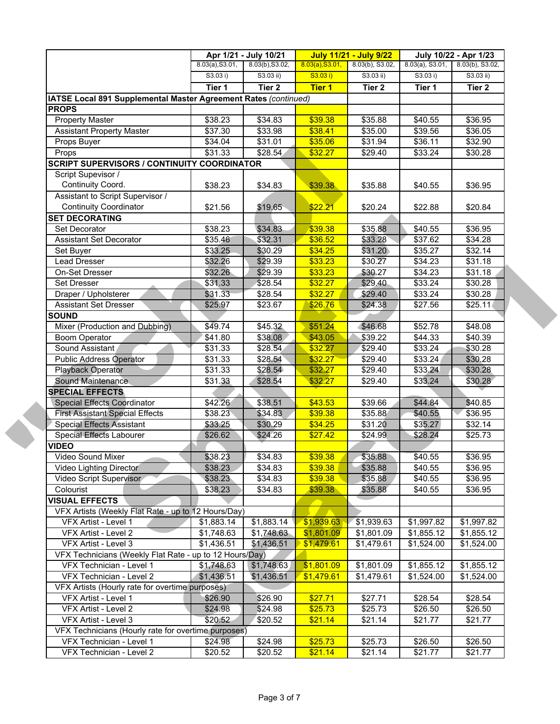|                                                                 |                 | Apr 1/21 - July 10/21 |                 | <b>July 11/21 - July 9/22</b> |                    | July 10/22 - Apr 1/23 |
|-----------------------------------------------------------------|-----------------|-----------------------|-----------------|-------------------------------|--------------------|-----------------------|
|                                                                 | 8.03(a), S3.01, | 8.03(b), S3.02,       | 8.03(a), S3.01, | 8.03(b), S3.02,               | $8.03(a)$ , S3.01, | $8.03(b)$ , S3.02,    |
|                                                                 | S3.03 i)        | $S3.03$ ii)           | S3.03 i)        | S3.03 ii)                     | S3.03 i)           | $S3.03$ ii)           |
|                                                                 | Tier 1          | Tier <sub>2</sub>     | <b>Tier 1</b>   | Tier 2                        | Tier 1             | Tier 2                |
| IATSE Local 891 Supplemental Master Agreement Rates (continued) |                 |                       |                 |                               |                    |                       |
| <b>PROPS</b>                                                    |                 |                       |                 |                               |                    |                       |
| <b>Property Master</b>                                          | \$38.23         | \$34.83               | \$39.38         | \$35.88                       | \$40.55            | \$36.95               |
| <b>Assistant Property Master</b>                                | \$37.30         | \$33.98               | \$38.41         | \$35.00                       | \$39.56            | \$36.05               |
| Props Buyer                                                     | \$34.04         | \$31.01               | \$35.06         | \$31.94                       | \$36.11            | \$32.90               |
| Props                                                           | \$31.33         | \$28.54               | \$32.27         | \$29.40                       | \$33.24            | \$30.28               |
| <b>SCRIPT SUPERVISORS / CONTINUITY COORDINATOR</b>              |                 |                       |                 |                               |                    |                       |
| Script Supevisor /                                              |                 |                       |                 |                               |                    |                       |
| Continuity Coord.                                               | \$38.23         | \$34.83               | \$39.38         | \$35.88                       | \$40.55            | \$36.95               |
| Assistant to Script Supervisor /                                |                 |                       |                 |                               |                    |                       |
| <b>Continuity Coordinator</b>                                   | \$21.56         | \$19.65               | \$22.21         | \$20.24                       | \$22.88            | \$20.84               |
| <b>SET DECORATING</b>                                           |                 |                       |                 |                               |                    |                       |
| Set Decorator                                                   | \$38.23         | \$34.83               | \$39.38         | \$35.88                       | \$40.55            | \$36.95               |
| <b>Assistant Set Decorator</b>                                  | \$35.46         | \$32.31               | \$36.52         | \$33.28                       | \$37.62            | \$34.28               |
| Set Buyer                                                       | \$33.25         | \$30.29               | \$34.25         | \$31.20                       | \$35.27            | \$32.14               |
| Lead Dresser                                                    | \$32.26         | \$29.39               | \$33.23         | \$30.27                       | \$34.23            | \$31.18               |
| On-Set Dresser                                                  | \$32.26         | \$29.39               | \$33.23         | \$30.27                       | \$34.23            | \$31.18               |
| Set Dresser                                                     | \$31.33         | \$28.54               | \$32.27         | \$29.40                       | \$33.24            | \$30.28               |
| Draper / Upholsterer                                            | \$31.33         | \$28.54               | \$32.27         | \$29.40                       | \$33.24            | \$30.28               |
| <b>Assistant Set Dresser</b>                                    | \$25.97         | \$23.67               | \$26.76         | \$24.38                       | \$27.56            | \$25.11               |
| <b>SOUND</b>                                                    |                 |                       |                 |                               |                    |                       |
| Mixer (Production and Dubbing)                                  | \$49.74         | \$45.32               | \$51.24         | \$46.68                       | \$52.78            | \$48.08               |
| <b>Boom Operator</b>                                            | $\sqrt{341.80}$ | \$38.08               | \$43.05         | \$39.22                       | \$44.33            | \$40.39               |
| Sound Assistant                                                 | \$31.33         | \$28.54               | \$32.27         | \$29.40                       | \$33.24            | \$30.28               |
| <b>Public Address Operator</b>                                  | \$31.33         | \$28.54               | \$32.27         | \$29.40                       | \$33.24            | \$30.28               |
| Playback Operator                                               | \$31.33         | \$28.54               | \$32.27         | \$29.40                       | \$33.24            | \$30.28               |
| Sound Maintenance                                               | \$31.33         | \$28.54               | \$32.27         | \$29.40                       | \$33.24            | \$30.28               |
| <b>SPECIAL EFFECTS</b>                                          |                 |                       |                 |                               |                    |                       |
| <b>Special Effects Coordinator</b>                              | \$42.26         | \$38.51               | \$43.53         | \$39.66                       | \$44.84            | \$40.85               |
| <b>First Assistant Special Effects</b>                          | \$38.23         | \$34.83               | \$39.38         | \$35.88                       | \$40.55            | \$36.95               |
| <b>Special Effects Assistant</b>                                | \$33.25         | \$30.29               | \$34.25         | \$31.20                       | \$35.27            | \$32.14               |
| Special Effects Labourer                                        | \$26.62         | \$24.26               | \$27.42         | \$24.99                       | \$28.24            | \$25.73               |
| <b>VIDEO</b>                                                    |                 |                       |                 |                               |                    |                       |
| Video Sound Mixer                                               | \$38.23         | \$34.83               | \$39.38         | \$35.88                       | \$40.55            | \$36.95               |
| Video Lighting Director                                         | \$38.23         | \$34.83               | \$39.38         | \$35.88                       | \$40.55            | \$36.95               |
| Video Script Supervisor                                         | \$38.23         | \$34.83               | \$39.38         | \$35.88                       | \$40.55            | \$36.95               |
| Colourist                                                       | \$38.23         | \$34.83               | \$39.38         | \$35.88                       | \$40.55            | \$36.95               |
| <b>VISUAL EFFECTS</b>                                           |                 |                       |                 |                               |                    |                       |
| VFX Artists (Weekly Flat Rate - up to 12 Hours/Day)             |                 |                       |                 |                               |                    |                       |
| VFX Artist - Level 1                                            | \$1,883.14      | \$1,883.14            | \$1,939.63      | \$1,939.63                    | \$1,997.82         | \$1,997.82            |
| VFX Artist - Level 2                                            | \$1,748.63      | \$1,748.63            | \$1,801.09      | \$1,801.09                    | \$1,855.12         | \$1,855.12            |
| VFX Artist - Level 3                                            | \$1,436.51      | \$1,436.51            | \$1,479.61      | \$1,479.61                    | \$1,524.00         | \$1,524.00            |
| VFX Technicians (Weekly Flat Rate - up to 12 Hours/Day)         |                 |                       |                 |                               |                    |                       |
| VFX Technician - Level 1                                        | \$1,748.63      | \$1,748.63            | \$1,801.09      | \$1,801.09                    | \$1,855.12         | \$1,855.12            |
| VFX Technician - Level 2                                        | \$1,436.51      | \$1,436.51            | \$1,479.61      | \$1,479.61                    | \$1,524.00         | \$1,524.00            |
| VFX Artists (Hourly rate for overtime purposes)                 |                 |                       |                 |                               |                    |                       |
| VFX Artist - Level 1                                            | \$26.90         | \$26.90               | \$27.71         | \$27.71                       | \$28.54            | \$28.54               |
| VFX Artist - Level 2                                            | \$24.98         | \$24.98               | \$25.73         | \$25.73                       | \$26.50            | \$26.50               |
| VFX Artist - Level 3                                            | \$20.52         | \$20.52               | \$21.14         | \$21.14                       | \$21.77            | \$21.77               |
| VFX Technicians (Hourly rate for overtime purposes)             |                 |                       |                 |                               |                    |                       |
| VFX Technician - Level 1                                        | \$24.98         | \$24.98               | \$25.73         | \$25.73                       | \$26.50            | \$26.50               |
| VFX Technician - Level 2                                        | \$20.52         | \$20.52               | \$21.14         | \$21.14                       | \$21.77            | \$21.77               |
|                                                                 |                 |                       |                 |                               |                    |                       |